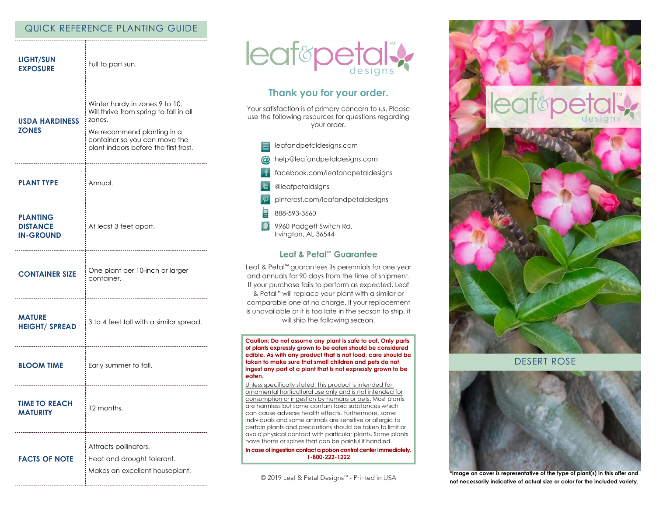# QUICK REFERENCE PLANTING GUIDE

| <b>LIGHT/SUN</b><br><b>EXPOSURE</b>                    | Full to part sun.                                                                                                                                                                          |
|--------------------------------------------------------|--------------------------------------------------------------------------------------------------------------------------------------------------------------------------------------------|
| <b>USDA HARDINESS</b><br><b>ZONES</b>                  | Winter hardy in zones 9 to 10.<br>Will thrive from spring to fall in all<br>zones.<br>We recommend planting in a<br>container so you can move the<br>plant indoors before the first frost. |
| <b>PLANT TYPE</b>                                      | Annual.                                                                                                                                                                                    |
| <b>PLANTING</b><br><b>DISTANCE</b><br><b>IN-GROUND</b> | At least 3 feet apart.                                                                                                                                                                     |
| <b>CONTAINER SIZE</b>                                  | One plant per 10-inch or larger<br>container.                                                                                                                                              |
| <b>MATURE</b><br><b>HEIGHT/ SPREAD</b>                 | 3 to 4 feet tall with a similar spread.                                                                                                                                                    |
| <b>BLOOM TIME</b>                                      | Early summer to fall.                                                                                                                                                                      |
| <b>TIME TO REACH</b><br>MAIUKII                        | 12 months.                                                                                                                                                                                 |
| <b>FACTS OF NOTE</b>                                   | Attracts pollinators.<br>Heat and drought tolerant.<br>Makes an excellent houseplant.                                                                                                      |



# Thank you for your order.

Your satisfaction is of primary concern to us. Please use the following resources for questions regarding your order.

- leafandpetaldesigns.com
- help@leafandpetaldesigns.com  $\omega$ 
	- facebook.com/leafandpetaldesigns
- @leafpetaldsigns
- pinterest.com/leafandpetaldesigns
- 888-593-3660
- Ω 9960 Padgett Switch Rd. Irvington, AL 36544

### Leaf & Petal™ Guarantee

Leaf & Petal™ guarantees its perennials for one year and annuals for 90 days from the time of shipment. If your purchase fails to perform as expected, Leaf & Petal™ will replace your plant with a similar or comparable one at no charge. If your replacement is unavailable or it is too late in the season to ship, it will ship the following season.

Caution: Do not assume any plant is safe to eat. Only parts of plants expressly grown to be eaten should be considered edible. As with any product that is not food, care should be taken to make sure that small children and pets do not ingest any part of a plant that is not expressly grown to be eaten.

Unless specifically stated, this product is intended for ornamental horticultural use only and is not intended for consumption or ingestion by humans or pets. Most plants are harmless but some contain toxic substances which can cause adverse health effects. Furthermore, some individuals and some animals are sensitive or allergic to certain plants and precautions should be taken to limit or avoid physical contact with particular plants. Some plants have thorns or spines that can be painful if handled.

In case of ingestion contact a poison control center immediately. 1-800-222-1222

© 2019 Leaf & Petal Designs™ - Printed in USA



**DESERT ROSE** 



\*Image on cover is representative of the type of plant(s) in this offer and not necessarily indicative of actual size or color for the included variety.